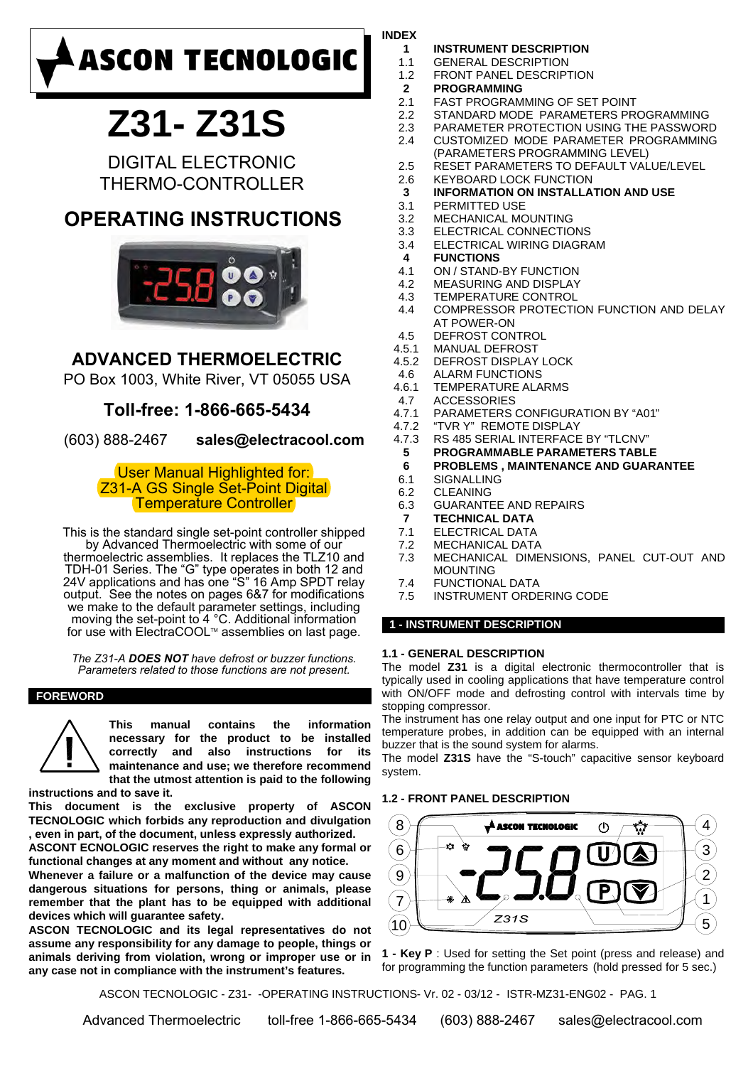# **ASCON TECNOLOGIC**

# **Z31- Z31S**

DIGITAL ELECTRONIC THERMO-CONTROLLER

# **OPERATING INSTRUCTIONS**



## **ADVANCED THERMOELECTRIC**

PO Box 1003, White River, VT 05055 USA

### **Toll-free: 1-866-665-5434**

(603) 888-2467 **sales@electracool.com**

#### User Manual Highlighted for: **Z31-A GS Single Set-Point Digital** Temperature Controller

This is the standard single set-point controller shipped by Advanced Thermoelectric with some of our thermoelectric assemblies. It replaces the TLZ10 and TDH-01 Series. The "G" type operates in both 12 and 24V applications and has one "S" 16 Amp SPDT relay output. See the notes on pages 6&7 for modifications we make to the default parameter settings, including moving the set-point to 4 °C. Additional information for use with ElectraCOOL™ assemblies on last page.

*The Z31-A DOES NOT have defrost or buzzer functions. Parameters related to those functions are not present.*

#### **FOREWORD**



**This manual contains the information necessary for the product to be installed correctly and also instructions for its maintenance and use; we therefore recommend that the utmost attention is paid to the following**

**instructions and to save it. This document is the exclusive property of ASCON**

**TECNOLOGIC which forbids any reproduction and divulgation , even in part, of the document, unless expressly authorized.** 

**ASCONT ECNOLOGIC reserves the right to make any formal or functional changes at any moment and without any notice.**

**Whenever a failure or a malfunction of the device may cause dangerous situations for persons, thing or animals, please remember that the plant has to be equipped with additional devices which will guarantee safety.**

**ASCON TECNOLOGIC and its legal representatives do not assume any responsibility for any damage to people, things or animals deriving from violation, wrong or improper use or in any case not in compliance with the instrument's features.**

#### **INDEX**

- **1 INSTRUMENT DESCRIPTION**
- 1.1 GENERAL DESCRIPTION
- 1.2 FRONT PANEL DESCRIPTION
- **2 PROGRAMMING**
- 2.1 FAST PROGRAMMING OF SET POINT
- 2.2 STANDARD MODE PARAMETERS PROGRAMMING
- 2.3 PARAMETER PROTECTION USING THE PASSWORD
- CUSTOMIZED MODE PARAMETER PROGRAMMING (PARAMETERS PROGRAMMING LEVEL) 2.4
- 2.5 RESET PARAMETERS TO DEFAULT VALUE/LEVEL
- 2.6 KEYBOARD LOCK FUNCTION
- **3 INFORMATION ON INSTALLATION AND USE**
- 3.1 PERMITTED USE
- 3.3 ELECTRICAL CONNECTIONS 3.2 MECHANICAL MOUNTING
- 3.4 ELECTRICAL WIRING DIAGRAM
- 
- **4 FUNCTIONS**
- 4.1 ON / STAND-BY FUNCTION
- 4.3 TEMPERATURE CONTROL 4.2 MEASURING AND DISPLAY
- COMPRESSOR PROTECTION FUNCTION AND DELAY AT POWER-ON 4.4
- 4.5 DEFROST CONTROL
- 4.5.1 MANUAL DEFROST
- 4.5.2 DEFROST DISPLAY LOCK
- 4.6 ALARM FUNCTIONS
- 4.6.1 TEMPERATURE ALARMS
- 4.7 ACCESSORIES
- 4.7.1 PARAMETERS CONFIGURATION BY "A01"
- 4.7.3 RS 485 SERIAL INTERFACE BY "TLCNV" 4.7.2 "TVR Y" REMOTE DISPLAY
	- **5 PROGRAMMABLE PARAMETERS TABLE**
- **6 PROBLEMS , MAINTENANCE AND GUARANTEE**
- 6.1 SIGNALLING
- 6.2 CLEANING
- 6.3 GUARANTEE AND REPAIRS
- **7 TECHNICAL DATA**
- 7.1 ELECTRICAL DATA
- 7.2 MECHANICAL DATA
- MECHANICAL DIMENSIONS, PANEL CUT-OUT AND MOUNTING 7.3
- 7.4 FUNCTIONAL DATA
- 7.5 INSTRUMENT ORDERING CODE

#### **1 - INSTRUMENT DESCRIPTION**

#### **1.1 - GENERAL DESCRIPTION**

The model **Z31** is a digital electronic thermocontroller that is typically used in cooling applications that have temperature control with ON/OFF mode and defrosting control with intervals time by stopping compressor.

The instrument has one relay output and one input for PTC or NTC temperature probes, in addition can be equipped with an internal buzzer that is the sound system for alarms.

The model **Z31S** have the "S-touch" capacitive sensor keyboard system.

#### **1.2 - FRONT PANEL DESCRIPTION**



**1 - Key P** : Used for setting the Set point (press and release) and for programming the function parameters (hold pressed for 5 sec.)

ASCON TECNOLOGIC - Z31- -OPERATING INSTRUCTIONS- Vr. 02 - 03/12 - ISTR-MZ31-ENG02 - PAG. 1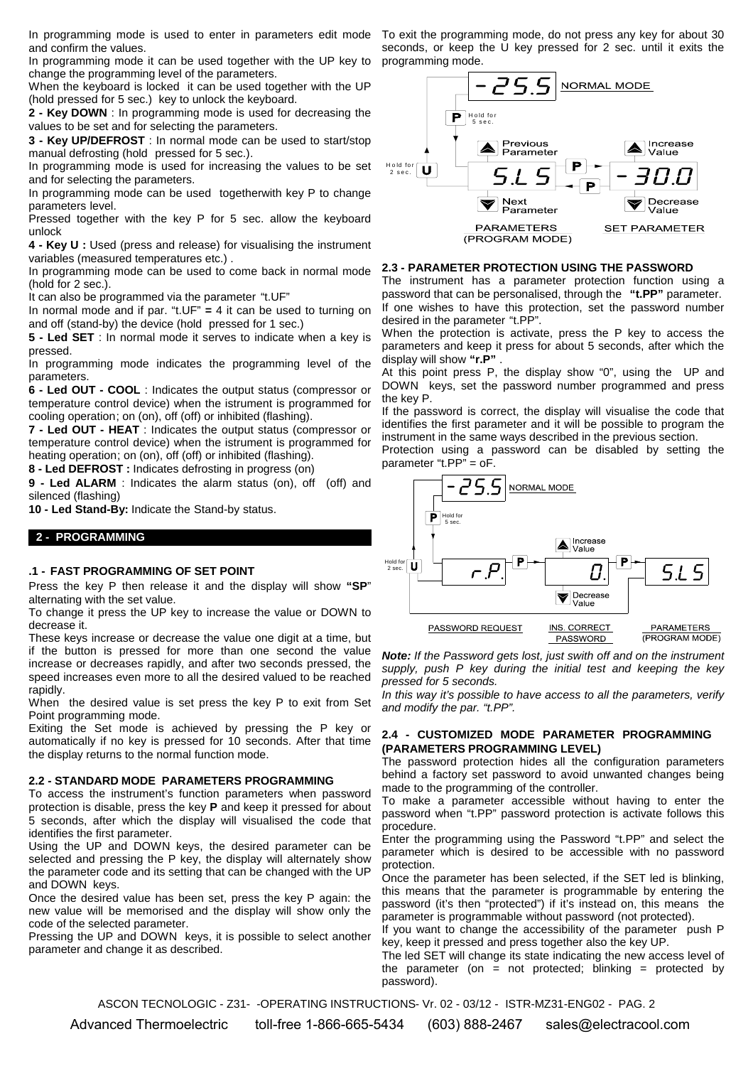In programming mode is used to enter in parameters edit mode To exit the programming mode, do not press any key for about 30 and confirm the values.

In programming mode it can be used together with the UP key to change the programming level of the parameters.

When the keyboard is locked it can be used together with the UP (hold pressed for 5 sec.) key to unlock the keyboard.

**2 - Key DOWN** : In programming mode is used for decreasing the values to be set and for selecting the parameters.

**3 - Key UP/DEFROST** : In normal mode can be used to start/stop manual defrosting (hold pressed for 5 sec.).

In programming mode is used for increasing the values to be set and for selecting the parameters.

In programming mode can be used togetherwith key P to change parameters level.

Pressed together with the key P for 5 sec. allow the keyboard unlock

**4 - Key U :** Used (press and release) for visualising the instrument variables (measured temperatures etc.) .

In programming mode can be used to come back in normal mode (hold for 2 sec.).

It can also be programmed via the parameter "t.UF"

In normal mode and if par. "t.UF" **=** 4 it can be used to turning on and off (stand-by) the device (hold pressed for 1 sec.)

**5 - Led SET** : In normal mode it serves to indicate when a key is pressed.

In programming mode indicates the programming level of the parameters.

**6 - Led OUT - COOL** : Indicates the output status (compressor or temperature control device) when the istrument is programmed for cooling operation; on (on), off (off) or inhibited (flashing).

**7 - Led OUT - HEAT** : Indicates the output status (compressor or temperature control device) when the istrument is programmed for heating operation; on (on), off (off) or inhibited (flashing).

**8 - Led DEFROST :** Indicates defrosting in progress (on)

**9 - Led ALARM** : Indicates the alarm status (on), off (off) and silenced (flashing)

**10 - Led Stand-By:** Indicate the Stand-by status.

#### **2 - PROGRAMMING**

#### **.1 - FAST PROGRAMMING OF SET POINT**

Press the key P then release it and the display will show **"SP**" alternating with the set value.

To change it press the UP key to increase the value or DOWN to decrease it.

These keys increase or decrease the value one digit at a time, but if the button is pressed for more than one second the value increase or decreases rapidly, and after two seconds pressed, the speed increases even more to all the desired valued to be reached rapidly.

When the desired value is set press the key P to exit from Set Point programming mode.

Exiting the Set mode is achieved by pressing the P key or automatically if no key is pressed for 10 seconds. After that time the display returns to the normal function mode.

#### **2.2 - STANDARD MODE PARAMETERS PROGRAMMING**

To access the instrument's function parameters when password protection is disable, press the key **P** and keep it pressed for about 5 seconds, after which the display will visualised the code that identifies the first parameter.

Using the UP and DOWN keys, the desired parameter can be selected and pressing the P key, the display will alternately show the parameter code and its setting that can be changed with the UP and DOWN keys.

Once the desired value has been set, press the key P again: the new value will be memorised and the display will show only the code of the selected parameter.

Pressing the UP and DOWN keys, it is possible to select another parameter and change it as described.

seconds, or keep the U key pressed for 2 sec. until it exits the programming mode.



#### **2.3 - PARAMETER PROTECTION USING THE PASSWORD**

The instrument has a parameter protection function using a password that can be personalised, through the **"t.PP"** parameter. If one wishes to have this protection, set the password number desired in the parameter "t.PP".

When the protection is activate, press the P key to access the parameters and keep it press for about 5 seconds, after which the display will show **"r.P"** .

At this point press P, the display show "0", using the UP and DOWN keys, set the password number programmed and press the key P.

If the password is correct, the display will visualise the code that identifies the first parameter and it will be possible to program the instrument in the same ways described in the previous section.

Protection using a password can be disabled by setting the parameter "t.PP" = oF.



*Note: If the Password gets lost, just swith off and on the instrument supply, push P key during the initial test and keeping the key pressed for 5 seconds.*

*In this way it's possible to have access to all the parameters, verify and modify the par. "t.PP".*

#### **2.4 - CUSTOMIZED MODE PARAMETER PROGRAMMING (PARAMETERS PROGRAMMING LEVEL)**

The password protection hides all the configuration parameters behind a factory set password to avoid unwanted changes being made to the programming of the controller.

To make a parameter accessible without having to enter the password when "t.PP" password protection is activate follows this procedure.

Enter the programming using the Password "t.PP" and select the parameter which is desired to be accessible with no password protection.

Once the parameter has been selected, if the SET led is blinking, this means that the parameter is programmable by entering the password (it's then "protected") if it's instead on, this means the parameter is programmable without password (not protected).

If you want to change the accessibility of the parameter push P key, keep it pressed and press together also the key UP.

The led SET will change its state indicating the new access level of the parameter (on  $=$  not protected; blinking  $=$  protected by password).

ASCON TECNOLOGIC - Z31- -OPERATING INSTRUCTIONS- Vr. 02 - 03/12 - ISTR-MZ31-ENG02 - PAG. 2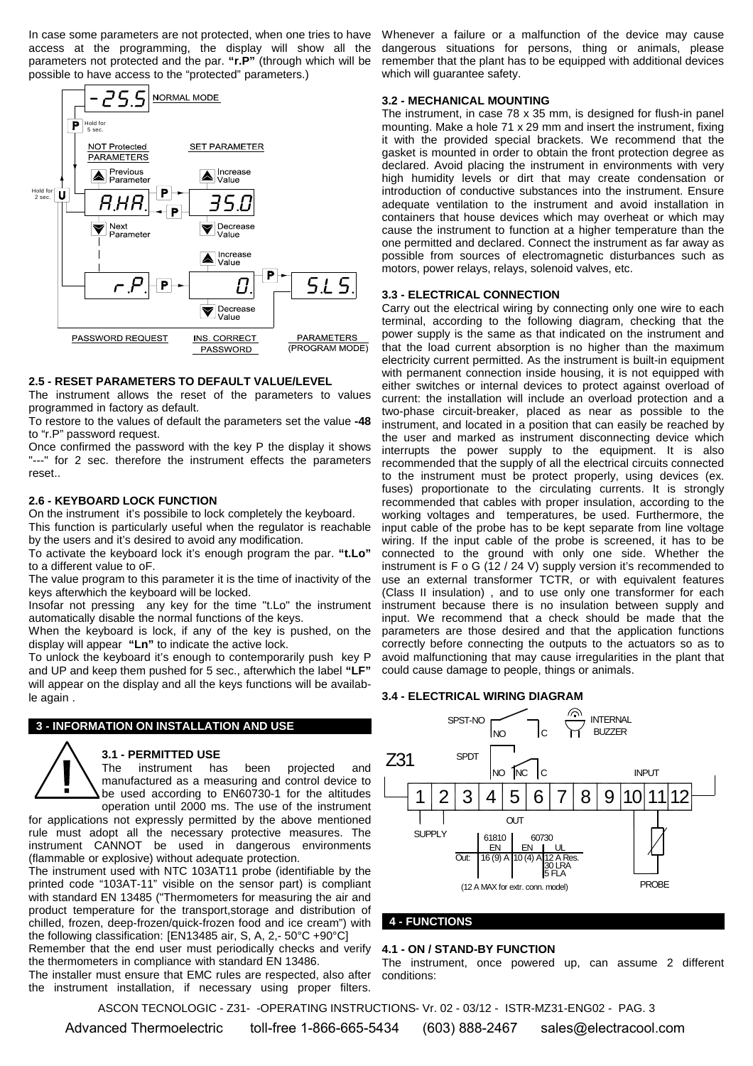In case some parameters are not protected, when one tries to have access at the programming, the display will show all the parameters not protected and the par. **"r.P"** (through which will be possible to have access to the "protected" parameters.)



#### **2.5 - RESET PARAMETERS TO DEFAULT VALUE/LEVEL**

The instrument allows the reset of the parameters to values programmed in factory as default.

To restore to the values of default the parameters set the value **-48** to "r.P" password request.

Once confirmed the password with the key P the display it shows "---" for 2 sec. therefore the instrument effects the parameters reset..

#### **2.6 - KEYBOARD LOCK FUNCTION**

On the instrument it's possibile to lock completely the keyboard.

This function is particularly useful when the regulator is reachable by the users and it's desired to avoid any modification.

To activate the keyboard lock it's enough program the par. **"t.Lo"** to a different value to oF.

The value program to this parameter it is the time of inactivity of the keys afterwhich the keyboard will be locked.

Insofar not pressing any key for the time "t.Lo" the instrument automatically disable the normal functions of the keys.

When the keyboard is lock, if any of the key is pushed, on the display will appear **"Ln"** to indicate the active lock.

To unlock the keyboard it's enough to contemporarily push key P and UP and keep them pushed for 5 sec., afterwhich the label **"LF"** will appear on the display and all the keys functions will be available again .

#### **3 - INFORMATION ON INSTALLATION AND USE**

#### **3.1 - PERMITTED USE**

The instrument has been projected and manufactured as a measuring and control device to be used according to EN60730-1 for the altitudes operation until 2000 ms. The use of the instrument

for applications not expressly permitted by the above mentioned rule must adopt all the necessary protective measures. The instrument CANNOT be used in dangerous environments (flammable or explosive) without adequate protection.

The instrument used with NTC 103AT11 probe (identifiable by the printed code "103AT-11" visible on the sensor part) is compliant with standard EN 13485 ("Thermometers for measuring the air and product temperature for the transport,storage and distribution of chilled, frozen, deep-frozen/quick-frozen food and ice cream") with the following classification: [EN13485 air, S, A, 2,- 50°C +90°C]

Remember that the end user must periodically checks and verify the thermometers in compliance with standard EN 13486.

The installer must ensure that EMC rules are respected, also after the instrument installation, if necessary using proper filters.

Whenever a failure or a malfunction of the device may cause dangerous situations for persons, thing or animals, please remember that the plant has to be equipped with additional devices which will guarantee safety.

#### **3.2 - MECHANICAL MOUNTING**

The instrument, in case 78 x 35 mm, is designed for flush-in panel mounting. Make a hole 71 x 29 mm and insert the instrument, fixing it with the provided special brackets. We recommend that the gasket is mounted in order to obtain the front protection degree as declared. Avoid placing the instrument in environments with very high humidity levels or dirt that may create condensation or introduction of conductive substances into the instrument. Ensure adequate ventilation to the instrument and avoid installation in containers that house devices which may overheat or which may cause the instrument to function at a higher temperature than the one permitted and declared. Connect the instrument as far away as possible from sources of electromagnetic disturbances such as motors, power relays, relays, solenoid valves, etc.

#### **3.3 - ELECTRICAL CONNECTION**

Carry out the electrical wiring by connecting only one wire to each terminal, according to the following diagram, checking that the power supply is the same as that indicated on the instrument and that the load current absorption is no higher than the maximum electricity current permitted. As the instrument is built-in equipment with permanent connection inside housing, it is not equipped with either switches or internal devices to protect against overload of current: the installation will include an overload protection and a two-phase circuit-breaker, placed as near as possible to the instrument, and located in a position that can easily be reached by the user and marked as instrument disconnecting device which interrupts the power supply to the equipment. It is also recommended that the supply of all the electrical circuits connected to the instrument must be protect properly, using devices (ex. fuses) proportionate to the circulating currents. It is strongly recommended that cables with proper insulation, according to the working voltages and temperatures, be used. Furthermore, the input cable of the probe has to be kept separate from line voltage wiring. If the input cable of the probe is screened, it has to be connected to the ground with only one side. Whether the instrument is F o G (12 / 24 V) supply version it's recommended to use an external transformer TCTR, or with equivalent features (Class II insulation) , and to use only one transformer for each instrument because there is no insulation between supply and input. We recommend that a check should be made that the parameters are those desired and that the application functions correctly before connecting the outputs to the actuators so as to avoid malfunctioning that may cause irregularities in the plant that could cause damage to people, things or animals.

#### **3.4 - ELECTRICAL WIRING DIAGRAM**



#### **4 - FUNCTIONS**

#### **4.1 - ON / STAND-BY FUNCTION**

The instrument, once powered up, can assume 2 different conditions:

ASCON TECNOLOGIC - Z31- -OPERATING INSTRUCTIONS- Vr. 02 - 03/12 - ISTR-MZ31-ENG02 - PAG. 3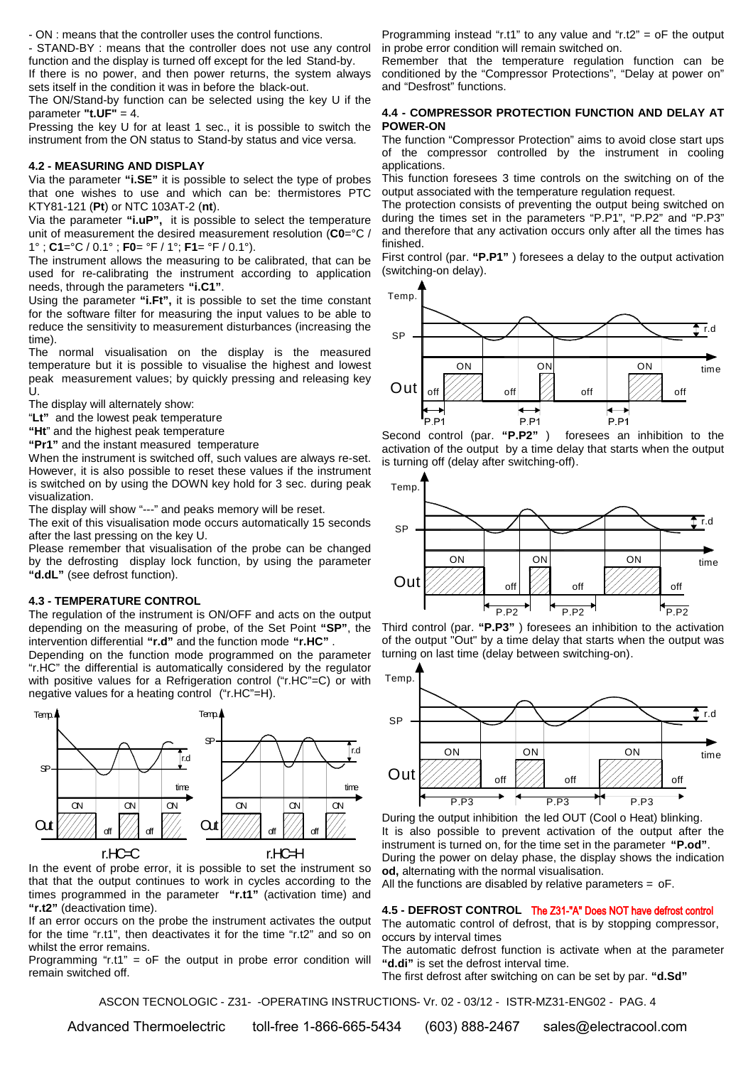- ON : means that the controller uses the control functions.

- STAND-BY : means that the controller does not use any control function and the display is turned off except for the led Stand-by. If there is no power, and then power returns, the system always sets itself in the condition it was in before the black-out.

The ON/Stand-by function can be selected using the key U if the parameter **"t.UF"** = 4.

Pressing the key U for at least 1 sec., it is possible to switch the instrument from the ON status to Stand-by status and vice versa.

#### **4.2 - MEASURING AND DISPLAY**

Via the parameter **"i.SE"** it is possible to select the type of probes that one wishes to use and which can be: thermistores PTC KTY81-121 (**Pt**) or NTC 103AT-2 (**nt**).

Via the parameter **"i.uP",** it is possible to select the temperature unit of measurement the desired measurement resolution (**C0**=°C / 1° ; **C1**=°C / 0.1° ; **F0**= °F / 1°; **F1**= °F / 0.1°).

The instrument allows the measuring to be calibrated, that can be used for re-calibrating the instrument according to application needs, through the parameters **"i.C1"**.

Using the parameter **"i.Ft",** it is possible to set the time constant for the software filter for measuring the input values to be able to reduce the sensitivity to measurement disturbances (increasing the time).

The normal visualisation on the display is the measured temperature but it is possible to visualise the highest and lowest peak measurement values; by quickly pressing and releasing key U.

The display will alternately show:

"**Lt"** and the lowest peak temperature

**"Ht**" and the highest peak temperature

**"Pr1"** and the instant measured temperature

When the instrument is switched off, such values are always re-set. However, it is also possible to reset these values if the instrument is switched on by using the DOWN key hold for 3 sec. during peak visualization.

The display will show "---" and peaks memory will be reset.

The exit of this visualisation mode occurs automatically 15 seconds after the last pressing on the key U.

Please remember that visualisation of the probe can be changed by the defrosting display lock function, by using the parameter **"d.dL"** (see defrost function).

#### **4.3 - TEMPERATURE CONTROL**

The regulation of the instrument is ON/OFF and acts on the output depending on the measuring of probe, of the Set Point **"SP"**, the intervention differential **"r.d"** and the function mode **"r.HC"** .

Depending on the function mode programmed on the parameter "r.HC" the differential is automatically considered by the regulator with positive values for a Refrigeration control ("r.HC"=C) or with negative values for a heating control ("r.HC"=H).



In the event of probe error, it is possible to set the instrument so that that the output continues to work in cycles according to the times programmed in the parameter **"r.t1"** (activation time) and **"r.t2"** (deactivation time).

If an error occurs on the probe the instrument activates the output for the time "r.t1", then deactivates it for the time "r.t2" and so on whilst the error remains.

Programming "r.t1" = oF the output in probe error condition will remain switched off.

Programming instead "r.t1" to any value and "r.t2" =  $oF$  the output in probe error condition will remain switched on.

Remember that the temperature regulation function can be conditioned by the "Compressor Protections", "Delay at power on" and "Desfrost" functions.

#### **4.4 - COMPRESSOR PROTECTION FUNCTION AND DELAY AT POWER-ON**

The function "Compressor Protection" aims to avoid close start ups of the compressor controlled by the instrument in cooling applications.

This function foresees 3 time controls on the switching on of the output associated with the temperature regulation request.

The protection consists of preventing the output being switched on during the times set in the parameters "P.P1", "P.P2" and "P.P3" and therefore that any activation occurs only after all the times has finished.

First control (par. **"P.P1"** ) foresees a delay to the output activation (switching-on delay).



Second control (par. **"P.P2"** ) foresees an inhibition to the activation of the output by a time delay that starts when the output is turning off (delay after switching-off).



Third control (par. **"P.P3"** ) foresees an inhibition to the activation of the output "Out" by a time delay that starts when the output was turning on last time (delay between switching-on).



During the output inhibition the led OUT (Cool o Heat) blinking. It is also possible to prevent activation of the output after the instrument is turned on, for the time set in the parameter **"P.od"**. During the power on delay phase, the display shows the indication **od,** alternating with the normal visualisation.

All the functions are disabled by relative parameters = oF.

**4.5 - DEFROST CONTROL** The Z31-"A" Does NOT have defrost control The automatic control of defrost, that is by stopping compressor, occurs by interval times

The automatic defrost function is activate when at the parameter **"d.di"** is set the defrost interval time.

The first defrost after switching on can be set by par. **"d.Sd"**

ASCON TECNOLOGIC - Z31- -OPERATING INSTRUCTIONS- Vr. 02 - 03/12 - ISTR-MZ31-ENG02 - PAG. 4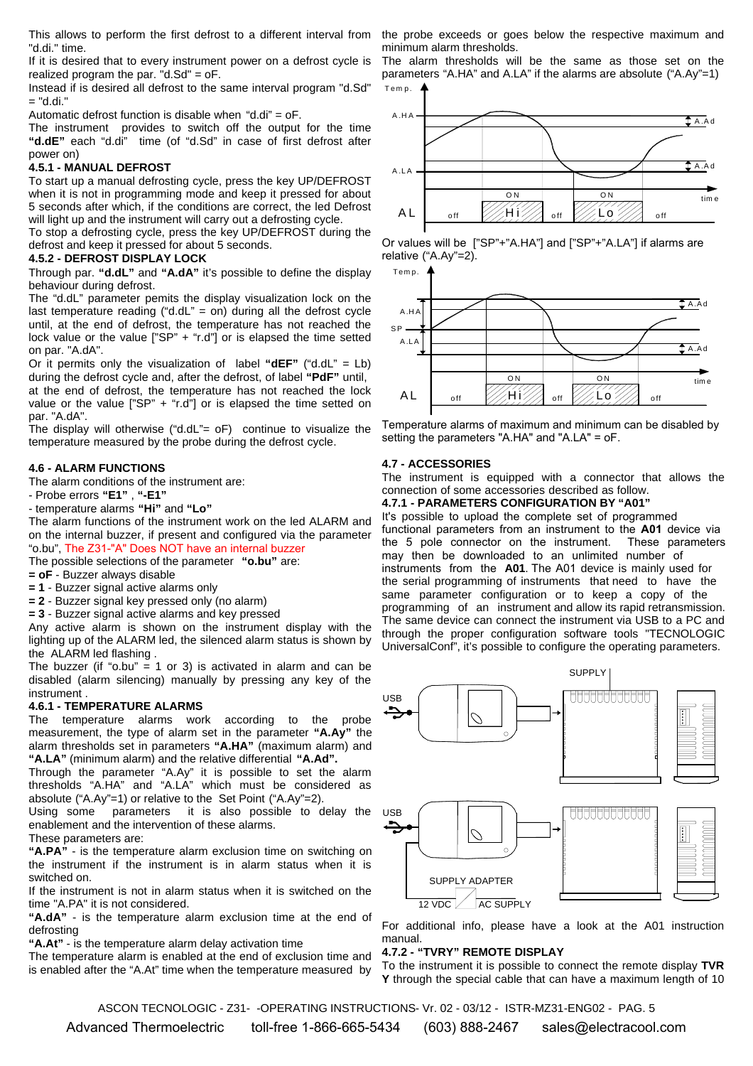This allows to perform the first defrost to a different interval from the probe exceeds or goes below the respective maximum and "d.di." time.

If it is desired that to every instrument power on a defrost cycle is realized program the par. " $d.Sd" = oF$ .

Instead if is desired all defrost to the same interval program "d.Sd"  $=$  "d.di."

Automatic defrost function is disable when "d.di" = oF.

The instrument provides to switch off the output for the time **"d.dE"** each "d.di" time (of "d.Sd" in case of first defrost after power on)

#### **4.5.1 - MANUAL DEFROST**

To start up a manual defrosting cycle, press the key UP/DEFROST when it is not in programming mode and keep it pressed for about 5 seconds after which, if the conditions are correct, the led Defrost will light up and the instrument will carry out a defrosting cycle.

To stop a defrosting cycle, press the key UP/DEFROST during the defrost and keep it pressed for about 5 seconds.

#### **4.5.2 - DEFROST DISPLAY LOCK**

Through par. **"d.dL"** and **"A.dA"** it's possible to define the display behaviour during defrost.

The "d.dL" parameter pemits the display visualization lock on the last temperature reading ("d.dL" = on) during all the defrost cycle until, at the end of defrost, the temperature has not reached the lock value or the value ["SP" + "r.d"] or is elapsed the time setted on par. "A.dA".

Or it permits only the visualization of label **"dEF"** ("d.dL" = Lb) during the defrost cycle and, after the defrost, of label **"PdF"** until, at the end of defrost, the temperature has not reached the lock value or the value ["SP" + "r.d"] or is elapsed the time setted on par. "A.dA".

The display will otherwise ("d.dL"= oF) continue to visualize the temperature measured by the probe during the defrost cycle.

#### **4.6 - ALARM FUNCTIONS**

The alarm conditions of the instrument are:

- Probe errors **"E1"** , **"-E1"**

- temperature alarms **"Hi"** and **"Lo"**

The alarm functions of the instrument work on the led ALARM and on the internal buzzer, if present and configured via the parameter "o.bu", The Z31-"A" Does NOT have an internal buzzer

The possible selections of the parameter **"o.bu"** are:

**= oF** - Buzzer always disable

**= 1** - Buzzer signal active alarms only

**= 2** - Buzzer signal key pressed only (no alarm)

**= 3** - Buzzer signal active alarms and key pressed

Any active alarm is shown on the instrument display with the lighting up of the ALARM led, the silenced alarm status is shown by the ALARM led flashing .

The buzzer (if "o.bu" = 1 or 3) is activated in alarm and can be disabled (alarm silencing) manually by pressing any key of the instrument .

#### **4.6.1 - TEMPERATURE ALARMS**

The temperature alarms work according to the probe measurement, the type of alarm set in the parameter **"A.Ay"** the alarm thresholds set in parameters **"A.HA"** (maximum alarm) and **"A.LA"** (minimum alarm) and the relative differential **"A.Ad".**

Through the parameter "A.Ay" it is possible to set the alarm thresholds "A.HA" and "A.LA" which must be considered as absolute ("A.Ay"=1) or relative to the Set Point ("A.Ay"=2).

Using some parameters it is also possible to delay the enablement and the intervention of these alarms.

These parameters are:

**"A.PA"** - is the temperature alarm exclusion time on switching on the instrument if the instrument is in alarm status when it is switched on.

If the instrument is not in alarm status when it is switched on the time "A.PA" it is not considered.

**"A.dA"** - is the temperature alarm exclusion time at the end of defrosting

**"A.At"** - is the temperature alarm delay activation time

The temperature alarm is enabled at the end of exclusion time and is enabled after the "A.At" time when the temperature measured by

minimum alarm thresholds.

The alarm thresholds will be the same as those set on the parameters "A.HA" and A.LA" if the alarms are absolute ("A.Ay"=1) Temp.



Or values will be ["SP"+"A.HA"] and ["SP"+"A.LA"] if alarms are relative ("A.Ay"=2).

Temp.



Temperature alarms of maximum and minimum can be disabled by setting the parameters "A.HA" and "A.LA" = oF.

#### **4.7 - ACCESSORIES**

The instrument is equipped with a connector that allows the connection of some accessories described as follow.

#### **4.7.1 - PARAMETERS CONFIGURATION BY "A01"**

It's possible to upload the complete set of programmed functional parameters from an instrument to the **A01** device via the 5 pole connector on the instrument. These parameters may then be downloaded to an unlimited number of instruments from the **A01**. The A01 device is mainly used for the serial programming of instruments that need to have the same parameter configuration or to keep a copy of the programming of an instrument and allow its rapid retransmission. The same device can connect the instrument via USB to a PC and through the proper configuration software tools "TECNOLOGIC UniversalConf", it's possible to configure the operating parameters.



For additional info, please have a look at the A01 instruction manual.

#### **4.7.2 - "TVRY" REMOTE DISPLAY**

To the instrument it is possible to connect the remote display **TVR Y** through the special cable that can have a maximum length of 10

ASCON TECNOLOGIC - Z31- -OPERATING INSTRUCTIONS- Vr. 02 - 03/12 - ISTR-MZ31-ENG02 - PAG. 5 Advanced Thermoelectric toll-free 1-866-665-5434 (603) 888-2467 sales@electracool.com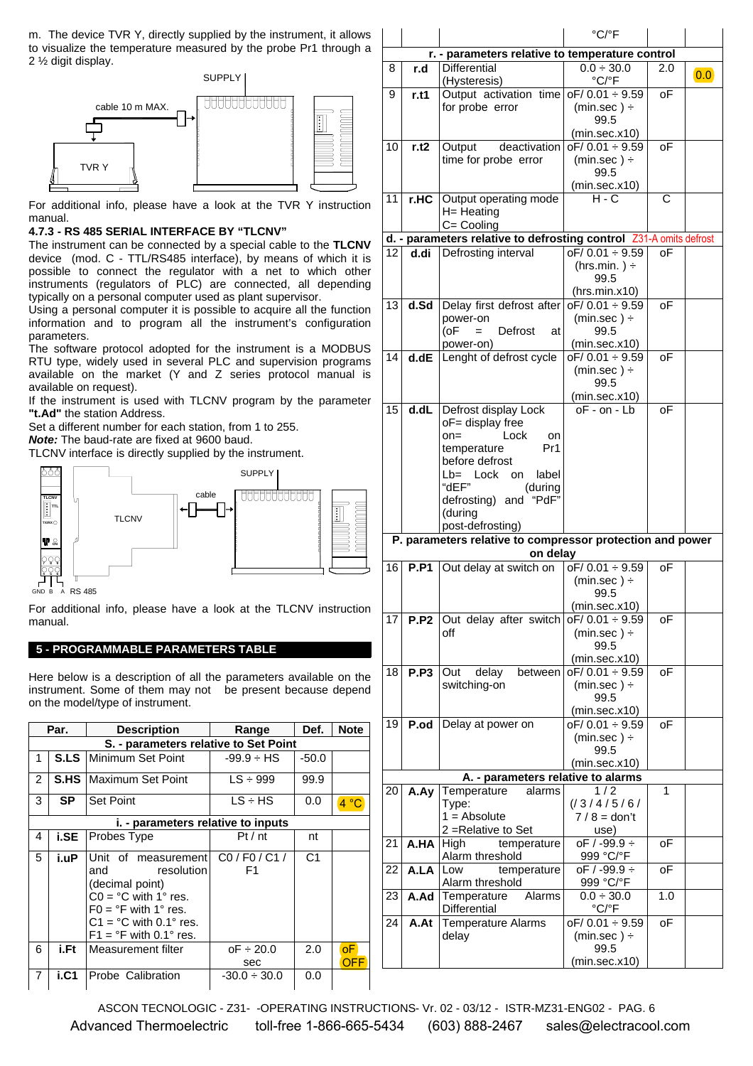m. The device TVR Y, directly supplied by the instrument, it allows to visualize the temperature measured by the probe Pr1 through a 2 ½ digit display.



For additional info, please have a look at the TVR Y instruction manual.

#### **4.7.3 - RS 485 SERIAL INTERFACE BY "TLCNV"**

The instrument can be connected by a special cable to the **TLCNV** device (mod. C - TTL/RS485 interface), by means of which it is possible to connect the regulator with a net to which other instruments (regulators of PLC) are connected, all depending typically on a personal computer used as plant supervisor.

Using a personal computer it is possible to acquire all the function information and to program all the instrument's configuration parameters.

The software protocol adopted for the instrument is a MODBUS RTU type, widely used in several PLC and supervision programs available on the market (Y and Z series protocol manual is available on request).

If the instrument is used with TLCNV program by the parameter **"t.Ad"** the station Address.

Set a different number for each station, from 1 to 255.

*Note:* The baud-rate are fixed at 9600 baud.

TLCNV interface is directly supplied by the instrument.



GND B A RS 485

For additional info, please have a look at the TLCNV instruction manual.

#### **5 - PROGRAMMABLE PARAMETERS TABLE**

Here below is a description of all the parameters available on the instrument. Some of them may not be present because depend on the model/type of instrument.

|                | Par.                                  | <b>Description</b>                                                                                                                                                          | Range                            | Def.           | <b>Note</b>   |  |
|----------------|---------------------------------------|-----------------------------------------------------------------------------------------------------------------------------------------------------------------------------|----------------------------------|----------------|---------------|--|
|                | S. - parameters relative to Set Point |                                                                                                                                                                             |                                  |                |               |  |
| 1              | <b>S.LS</b>                           | Minimum Set Point                                                                                                                                                           | -99.9 – HS                       | $-50.0$        |               |  |
| $\overline{2}$ |                                       | <b>S.HS   Maximum Set Point</b>                                                                                                                                             | $LS \div 999$                    | 99.9           |               |  |
| 3              | <b>SP</b>                             | <b>Set Point</b>                                                                                                                                                            | $LS \div HS$                     | 0.0            | $4^{\circ}$ C |  |
|                | i. - parameters relative to inputs    |                                                                                                                                                                             |                                  |                |               |  |
| 4              | i.SE                                  | Probes Type                                                                                                                                                                 | Pt/nt                            | nt             |               |  |
| 5              | i.uP                                  | Unit of measurement<br>resolution<br>and<br>(decimal point)<br>$CO = ^{\circ}C$ with 1° res.<br>$FO = P$ with 1° res.<br>$C1 = C$ with 0.1° res.<br>$F1 = P$ with 0.1° res. | CO / FO / C1 /<br>F <sub>1</sub> | C <sub>1</sub> |               |  |
| 6              | i.Ft                                  | Measurement filter                                                                                                                                                          | $oF \div 20.0$<br>sec            | 2.0            | οF<br>OFF     |  |
| $\overline{7}$ | i.C1                                  | Probe Calibration                                                                                                                                                           | $-30.0 \div 30.0$                | 0.0            |               |  |

|    |                                                 |                                                                                  | °C/°F                                                             |     |     |
|----|-------------------------------------------------|----------------------------------------------------------------------------------|-------------------------------------------------------------------|-----|-----|
|    | r. - parameters relative to temperature control |                                                                                  |                                                                   |     |     |
| 8  | r.d                                             | <b>Differential</b>                                                              | $0.0 \div 30.0$                                                   | 2.0 | 0.0 |
|    |                                                 | (Hysteresis)                                                                     | °C/°F                                                             |     |     |
| 9  | r.t1                                            | Output activation time $oF/ 0.01 \div 9.59$<br>for probe error                   | (min.sec) $\div$                                                  | oF  |     |
|    |                                                 |                                                                                  | 99.5                                                              |     |     |
|    |                                                 |                                                                                  | (min/sec.x10)                                                     |     |     |
| 10 | r.t2                                            | deactivation<br>Output                                                           | $oF/ 0.01 \div 9.59$                                              | οF  |     |
|    |                                                 | time for probe error                                                             | (min.sec) $\div$<br>99.5                                          |     |     |
|    |                                                 |                                                                                  | (min/sec.x10)                                                     |     |     |
| 11 | r.HC                                            | Output operating mode                                                            | $H - C$                                                           | C   |     |
|    |                                                 | $H = Heating$                                                                    |                                                                   |     |     |
|    |                                                 | C= Cooling<br>d. - parameters relative to defrosting control Z31-A omits defrost |                                                                   |     |     |
| 12 | d.di                                            | Defrosting interval                                                              | $oF/ 0.01 \div 9.59$                                              | οF  |     |
|    |                                                 |                                                                                  | (hrs.min.) $\div$                                                 |     |     |
|    |                                                 |                                                                                  | 99.5                                                              |     |     |
|    |                                                 |                                                                                  | (hrs.min.x10)                                                     |     |     |
| 13 | d.Sd                                            | Delay first defrost after<br>power-on                                            | $oF/ 0.01 \div 9.59$<br>(min.sec) $\div$                          | oF  |     |
|    |                                                 | Defrost<br>(oF<br>$=$<br>at                                                      | 99.5                                                              |     |     |
|    |                                                 | power-on)                                                                        | (min/sec.x10)                                                     |     |     |
| 14 | d.dE                                            | Lenght of defrost cycle                                                          | oF/0.01 ÷ 9.59                                                    | οF  |     |
|    |                                                 |                                                                                  | (min.sec) $\div$<br>99.5                                          |     |     |
|    |                                                 |                                                                                  | (min/sec.x10)                                                     |     |     |
| 15 | d.dL                                            | Defrost display Lock                                                             | oF - on - Lb                                                      | oF  |     |
|    |                                                 | oF= display free                                                                 |                                                                   |     |     |
|    |                                                 | Lock<br>on=<br>on                                                                |                                                                   |     |     |
|    |                                                 | temperature<br>Pr1<br>before defrost                                             |                                                                   |     |     |
|    |                                                 | Lb= Lock<br>label<br>on                                                          |                                                                   |     |     |
|    |                                                 | "dEF"<br>(during                                                                 |                                                                   |     |     |
|    |                                                 | defrosting) and "PdF"                                                            |                                                                   |     |     |
|    |                                                 | (during                                                                          |                                                                   |     |     |
|    |                                                 | post-defrosting)<br>P. parameters relative to compressor protection and power    |                                                                   |     |     |
|    |                                                 | on delay                                                                         |                                                                   |     |     |
| 16 | <b>P.P1</b>                                     | Out delay at switch on                                                           | oF/0.01 ÷ 9.59                                                    | οF  |     |
|    |                                                 |                                                                                  | (min.sec ) ÷                                                      |     |     |
|    |                                                 |                                                                                  | 99.5<br>(min/sec.x10)                                             |     |     |
| 17 | <b>P.P2</b>                                     | Out delay after switch                                                           | $oF/ 0.01 \div 9.59$                                              | oF  |     |
|    |                                                 | off                                                                              | (min.sec) $\div$                                                  |     |     |
|    |                                                 |                                                                                  | 99.5                                                              |     |     |
| 18 | <b>P.P3</b>                                     | between<br>Out<br>delay                                                          | (min.sec.x10)<br>$oF/0.01 \div 9.59$                              | oF  |     |
|    |                                                 | switching-on                                                                     | (min.sec) $\div$                                                  |     |     |
|    |                                                 |                                                                                  | 99.5                                                              |     |     |
|    |                                                 |                                                                                  | (min/sec.x10)                                                     |     |     |
| 19 | P.od                                            | Delay at power on                                                                | $oF/ 0.01 \div 9.59$                                              | oF  |     |
|    |                                                 |                                                                                  | (min.sec) $\div$<br>99.5                                          |     |     |
|    |                                                 |                                                                                  | (min/sec.x10)                                                     |     |     |
|    |                                                 | A. - parameters relative to alarms                                               |                                                                   |     |     |
| 20 | A.Ay                                            | Temperature<br>alarms                                                            | 1/2                                                               | 1   |     |
|    |                                                 | Type:<br>$1 =$ Absolute                                                          | (13/4/5/6)                                                        |     |     |
|    |                                                 | 2 = Relative to Set                                                              | $7/8 =$ don't<br>use)                                             |     |     |
| 21 |                                                 | <b>High</b><br>temperature                                                       | oF / -99.9 ÷                                                      | oF  |     |
|    | A.HA                                            |                                                                                  | 999 °C/°F                                                         |     |     |
|    |                                                 | Alarm threshold                                                                  |                                                                   |     |     |
| 22 | A.LA                                            | Low<br>temperature                                                               | oF / -99.9 ÷                                                      | οF  |     |
|    |                                                 | Alarm threshold                                                                  | 999 °C/°F                                                         |     |     |
| 23 | A.Ad                                            | Temperature<br>Alarms                                                            | $\overline{0.0} \div 30.0$                                        | 1.0 |     |
| 24 | A.At                                            | Differential<br><b>Temperature Alarms</b>                                        | $\mathrm{^{\circ} C}/\mathrm{^{\circ} F}$<br>$oF/ 0.01 \div 9.59$ | oF  |     |
|    |                                                 | delay                                                                            | (min.sec) $\div$                                                  |     |     |
|    |                                                 |                                                                                  | 99.5<br>(min.sec.x10)                                             |     |     |

ASCON TECNOLOGIC - Z31- -OPERATING INSTRUCTIONS- Vr. 02 - 03/12 - ISTR-MZ31-ENG02 - PAG. 6 Advanced Thermoelectric toll-free 1-866-665-5434 (603) 888-2467 sales@electracool.com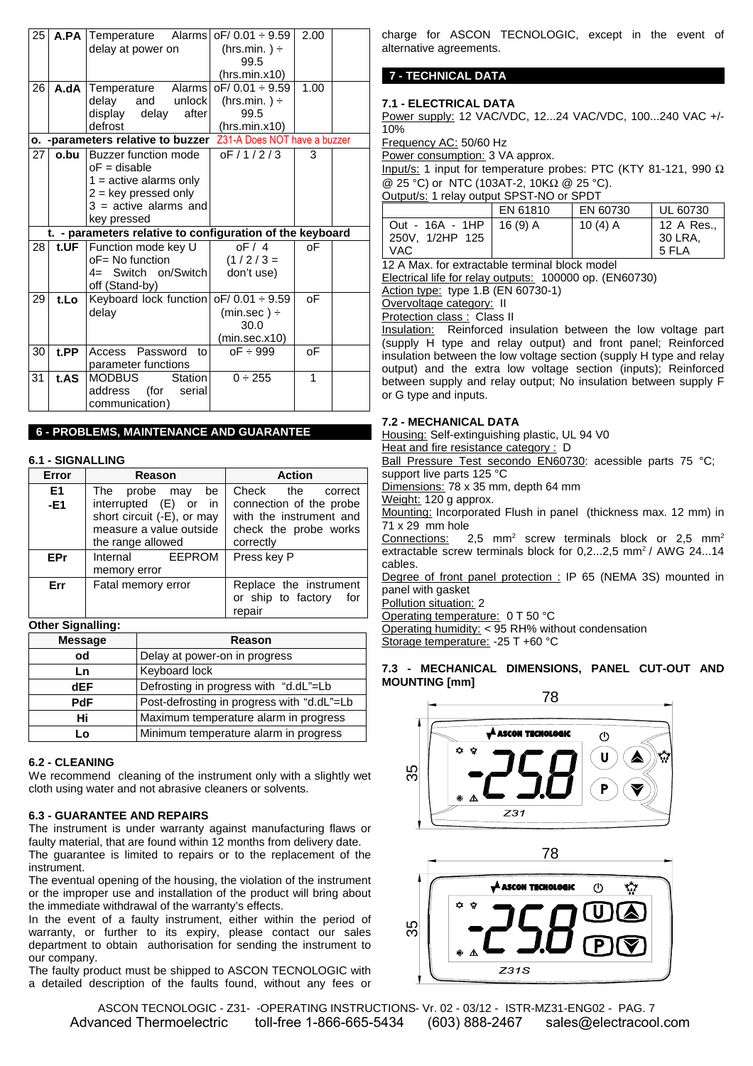| 25 <sub>1</sub> |        | <b>A.PA</b> Temperature Alarms   $oF/ 0.01 \div 9.59$           |                               | 2.00 |  |
|-----------------|--------|-----------------------------------------------------------------|-------------------------------|------|--|
|                 |        | delay at power on                                               | (hrs.min.) $\div$             |      |  |
|                 |        |                                                                 | 99.5                          |      |  |
|                 |        |                                                                 | (hrs.min.x10)                 |      |  |
| 26              | A.dA   | Temperature                                                     | Alarms   $oF/ 0.01 \div 9.59$ | 1.00 |  |
|                 |        | delay<br>and<br>unlock                                          | (hrs.min.) $\div$             |      |  |
|                 |        | display delay<br>after                                          | 99.5                          |      |  |
|                 |        | defrost                                                         | (hrs.min.x10)                 |      |  |
|                 |        | o. - parameters relative to buzzer Z31-A Does NOT have a buzzer |                               |      |  |
| 27              | o.bu l | Buzzer function mode                                            | oF/1/2/3                      | 3    |  |
|                 |        | $oF =$ disable                                                  |                               |      |  |
|                 |        | $1 =$ active alarms only                                        |                               |      |  |
|                 |        | $2 = \text{key pressed only}$                                   |                               |      |  |
|                 |        | $3 =$ active alarms and                                         |                               |      |  |
|                 |        | key pressed                                                     |                               |      |  |
|                 |        | t. - parameters relative to configuration of the keyboard       |                               |      |  |
| 28              | t.UF   | Function mode key U                                             | oF/4                          | οF   |  |
|                 |        | oF= No function                                                 | $(1/2/3=$                     |      |  |
|                 |        | 4= Switch on/Switch                                             | don't use)                    |      |  |
|                 |        | off (Stand-by)                                                  |                               |      |  |
| 29              | t.Lo   | Keyboard lock function oF/ 0.01 ÷ 9.59                          |                               | οF   |  |
|                 |        | delay                                                           | (min.sec) $\div$              |      |  |
|                 |        |                                                                 | 30.0                          |      |  |
|                 |        |                                                                 | (min/sec.x10)                 |      |  |
| 30              | t.PP   | Access Password<br>to                                           | oF ÷ 999                      | οF   |  |
|                 |        | parameter functions                                             |                               |      |  |
| 31              | t.AS   | MODBUS<br>Station                                               | $0 \div 255$                  | 1    |  |
|                 |        | address<br>(for<br>serial                                       |                               |      |  |
|                 |        | communication)                                                  |                               |      |  |

#### **6 - PROBLEMS, MAINTENANCE AND GUARANTEE**

#### **6.1 - SIGNALLING**

| Error                   | Reason                                                                                                                     | <b>Action</b>                                                                                                 |  |
|-------------------------|----------------------------------------------------------------------------------------------------------------------------|---------------------------------------------------------------------------------------------------------------|--|
| E <sub>1</sub><br>$-E1$ | The probe may<br>be<br>interrupted (E) or in<br>short circuit (-E), or may<br>measure a value outside<br>the range allowed | Check the correct<br>connection of the probe<br>with the instrument and<br>check the probe works<br>correctly |  |
| EPr                     | EEPROM<br>Internal<br>memory error                                                                                         | Press key P                                                                                                   |  |
| Err                     | Fatal memory error                                                                                                         | Replace the instrument<br>or ship to factory<br>for<br>repair                                                 |  |

**Other Signalling:**

| <b>Message</b> | Reason                                     |
|----------------|--------------------------------------------|
| od             | Delay at power-on in progress              |
| Ln             | Keyboard lock                              |
| dEF            | Defrosting in progress with "d.dL"=Lb      |
| <b>PdF</b>     | Post-defrosting in progress with "d.dL"=Lb |
| Hi             | Maximum temperature alarm in progress      |
| $\Omega$       | Minimum temperature alarm in progress      |

#### **6.2 - CLEANING**

We recommend cleaning of the instrument only with a slightly wet cloth using water and not abrasive cleaners or solvents.

#### **6.3 - GUARANTEE AND REPAIRS**

The instrument is under warranty against manufacturing flaws or faulty material, that are found within 12 months from delivery date. The guarantee is limited to repairs or to the replacement of the instrument.

The eventual opening of the housing, the violation of the instrument or the improper use and installation of the product will bring about the immediate withdrawal of the warranty's effects.

In the event of a faulty instrument, either within the period of warranty, or further to its expiry, please contact our sales department to obtain authorisation for sending the instrument to our company.

The faulty product must be shipped to ASCON TECNOLOGIC with a detailed description of the faults found, without any fees or charge for ASCON TECNOLOGIC, except in the event of alternative agreements.

#### **7 - TECHNICAL DATA**

#### **7.1 - ELECTRICAL DATA**

Power supply: 12 VAC/VDC, 12...24 VAC/VDC, 100...240 VAC +/- 10%

Frequency AC: 50/60 Hz

Power consumption: 3 VA approx.

Input/s: 1 input for temperature probes: PTC (KTY 81-121, 990 Ω @ 25 °C) or NTC (103AT-2, 10KΩ @ 25 °C). Output/s: 1 relay output SPST-NO or SPDT

| $\frac{3}{2}$ and $\frac{3}{2}$ . Then $\frac{3}{2}$ can be $\frac{3}{2}$ . $\frac{3}{2}$ . The set of $\frac{3}{2}$ . |          |            |                                |  |  |
|------------------------------------------------------------------------------------------------------------------------|----------|------------|--------------------------------|--|--|
|                                                                                                                        | EN 61810 | EN 60730   | <b>UL 60730</b>                |  |  |
| Out - 16A - 1HP   16 (9) A<br>250V. 1/2HP 125<br>VAC.                                                                  |          | 10 $(4)$ A | 12 A Res.,<br>30 LRA.<br>5 FLA |  |  |

12 A Max. for extractable terminal block model

Electrical life for relay outputs: 100000 op. (EN60730)

Action type: type 1.B (EN 60730-1)

Overvoltage category: II

Protection class : Class II

Insulation:Reinforced insulation between the low voltage part (supply H type and relay output) and front panel; Reinforced insulation between the low voltage section (supply H type and relay output) and the extra low voltage section (inputs); Reinforced between supply and relay output; No insulation between supply F or G type and inputs.

#### **7.2 - MECHANICAL DATA**

Housing: Self-extinguishing plastic, UL 94 V0

Heat and fire resistance category : D

Ball Pressure Test secondo EN60730: acessible parts 75 °C; support live parts 125 °C Dimensions: 78 x 35 mm, depth 64 mm Weight: 120 g approx. Mounting: Incorporated Flush in panel (thickness max. 12 mm) in 71 x 29 mm hole Connections: 2,5 mm<sup>2</sup> screw terminals block or 2,5 mm<sup>2</sup> extractable screw terminals block for 0.2...2.5 mm<sup>2</sup> / AWG 24...14 cables. Degree of front panel protection : IP 65 (NEMA 3S) mounted in

panel with gasket Pollution situation: 2

Operating temperature: 0 T 50 °C

Operating humidity: < 95 RH% without condensation

Storage temperature: -25 T +60 °C

**7.3 - MECHANICAL DIMENSIONS, PANEL CUT-OUT AND MOUNTING [mm]**





ASCON TECNOLOGIC - Z31- -OPERATING INSTRUCTIONS- Vr. 02 - 03/12 - ISTR-MZ31-ENG02 - PAG. 7 Advanced Thermoelectric toll-free 1-866-665-5434 (603) 888-2467 sales@electracool.com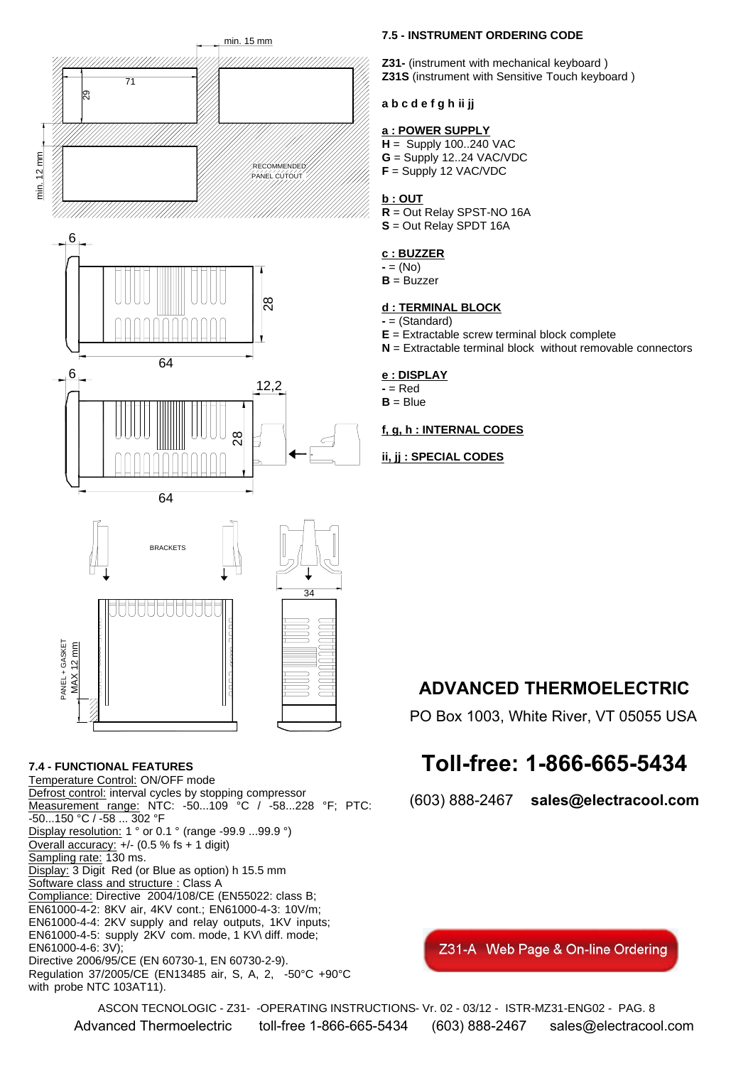

#### **7.4 - FUNCTIONAL FEATURES**

Temperature Control: ON/OFF mode Defrost control: interval cycles by stopping compressor Measurement range: NTC: -50...109 °C / -58...228 °F; PTC: -50...150 °C / -58 ... 302 °F Display resolution: 1 ° or 0.1 ° (range -99.9 ...99.9 °) Overall accuracy:  $+/-$  (0.5 % fs + 1 digit) Sampling rate: 130 ms. Display: 3 Digit Red (or Blue as option) h 15.5 mm Software class and structure : Class A Compliance: Directive 2004/108/CE (EN55022: class B; EN61000-4-2: 8KV air, 4KV cont.; EN61000-4-3: 10V/m; EN61000-4-4: 2KV supply and relay outputs, 1KV inputs; EN61000-4-5: supply 2KV com. mode, 1 KV\ diff. mode; EN61000-4-6: 3V); Directive 2006/95/CE (EN 60730-1, EN 60730-2-9). Regulation 37/2005/CE (EN13485 air, S, A, 2, -50°C +90°C with probe NTC 103AT11).

#### **7.5 - INSTRUMENT ORDERING CODE**

**Z31-** (instrument with mechanical keyboard ) **Z31S** (instrument with Sensitive Touch keyboard )

**a b c d e f g h ii jj**

#### **a : POWER SUPPLY**

- **H** = Supply 100..240 VAC **G** = Supply 12..24 VAC/VDC
- **F** = Supply 12 VAC/VDC

#### **b : OUT**

**R** = Out Relay SPST-NO 16A **S** = Out Relay SPDT 16A

#### **c : BUZZER**

- **-** = (No)
- **B** = Buzzer

#### **d : TERMINAL BLOCK**

- **-** = (Standard)
- **E** = Extractable screw terminal block complete
- **N** = Extractable terminal block without removable connectors

#### **e : DISPLAY**

**-** = Red  $B = Blue$ 

#### **f, g, h : INTERNAL CODES**

#### **ii, jj : SPECIAL CODES**

### **ADVANCED THERMOELECTRIC**

PO Box 1003, White River, VT 05055 USA

# **Toll-free: 1-866-665-5434**

(603) 888-2467 **sales@electracool.com**

Z31-A Web Page & On-line Ordering

ASCON TECNOLOGIC - Z31- -OPERATING INSTRUCTIONS- Vr. 02 - 03/12 - ISTR-MZ31-ENG02 - PAG. 8 Advanced Thermoelectric toll-free 1-866-665-5434 (603) 888-2467 sales@electracool.com